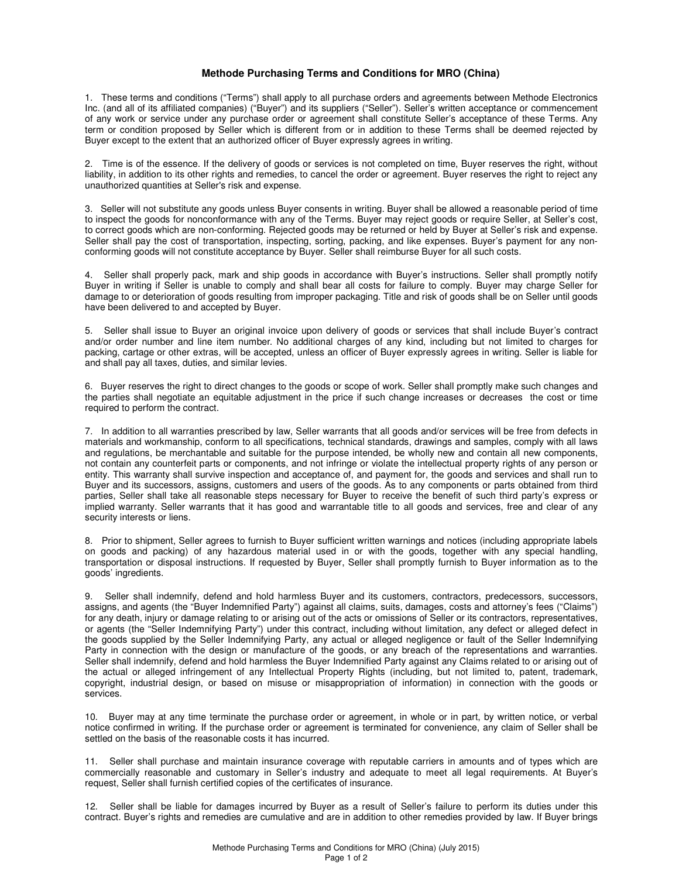## **Methode Purchasing Terms and Conditions for MRO (China)**

1. These terms and conditions ("Terms") shall apply to all purchase orders and agreements between Methode Electronics Inc. (and all of its affiliated companies) ("Buyer") and its suppliers ("Seller"). Seller's written acceptance or commencement of any work or service under any purchase order or agreement shall constitute Seller's acceptance of these Terms. Any term or condition proposed by Seller which is different from or in addition to these Terms shall be deemed rejected by Buyer except to the extent that an authorized officer of Buyer expressly agrees in writing.

2. Time is of the essence. If the delivery of goods or services is not completed on time, Buyer reserves the right, without liability, in addition to its other rights and remedies, to cancel the order or agreement. Buyer reserves the right to reject any unauthorized quantities at Seller's risk and expense.

3. Seller will not substitute any goods unless Buyer consents in writing. Buyer shall be allowed a reasonable period of time to inspect the goods for nonconformance with any of the Terms. Buyer may reject goods or require Seller, at Seller's cost, to correct goods which are non-conforming. Rejected goods may be returned or held by Buyer at Seller's risk and expense. Seller shall pay the cost of transportation, inspecting, sorting, packing, and like expenses. Buyer's payment for any nonconforming goods will not constitute acceptance by Buyer. Seller shall reimburse Buyer for all such costs.

4. Seller shall properly pack, mark and ship goods in accordance with Buyer's instructions. Seller shall promptly notify Buyer in writing if Seller is unable to comply and shall bear all costs for failure to comply. Buyer may charge Seller for damage to or deterioration of goods resulting from improper packaging. Title and risk of goods shall be on Seller until goods have been delivered to and accepted by Buyer.

5. Seller shall issue to Buyer an original invoice upon delivery of goods or services that shall include Buyer's contract and/or order number and line item number. No additional charges of any kind, including but not limited to charges for packing, cartage or other extras, will be accepted, unless an officer of Buyer expressly agrees in writing. Seller is liable for and shall pay all taxes, duties, and similar levies.

6. Buyer reserves the right to direct changes to the goods or scope of work. Seller shall promptly make such changes and the parties shall negotiate an equitable adjustment in the price if such change increases or decreases the cost or time required to perform the contract.

7. In addition to all warranties prescribed by law, Seller warrants that all goods and/or services will be free from defects in materials and workmanship, conform to all specifications, technical standards, drawings and samples, comply with all laws and regulations, be merchantable and suitable for the purpose intended, be wholly new and contain all new components, not contain any counterfeit parts or components, and not infringe or violate the intellectual property rights of any person or entity. This warranty shall survive inspection and acceptance of, and payment for, the goods and services and shall run to Buyer and its successors, assigns, customers and users of the goods. As to any components or parts obtained from third parties, Seller shall take all reasonable steps necessary for Buyer to receive the benefit of such third party's express or implied warranty. Seller warrants that it has good and warrantable title to all goods and services, free and clear of any security interests or liens.

8. Prior to shipment, Seller agrees to furnish to Buyer sufficient written warnings and notices (including appropriate labels on goods and packing) of any hazardous material used in or with the goods, together with any special handling, transportation or disposal instructions. If requested by Buyer, Seller shall promptly furnish to Buyer information as to the goods' ingredients.

9. Seller shall indemnify, defend and hold harmless Buyer and its customers, contractors, predecessors, successors, assigns, and agents (the "Buyer Indemnified Party") against all claims, suits, damages, costs and attorney's fees ("Claims") for any death, injury or damage relating to or arising out of the acts or omissions of Seller or its contractors, representatives, or agents (the "Seller Indemnifying Party") under this contract, including without limitation, any defect or alleged defect in the goods supplied by the Seller Indemnifying Party, any actual or alleged negligence or fault of the Seller Indemnifying Party in connection with the design or manufacture of the goods, or any breach of the representations and warranties. Seller shall indemnify, defend and hold harmless the Buyer Indemnified Party against any Claims related to or arising out of the actual or alleged infringement of any Intellectual Property Rights (including, but not limited to, patent, trademark, copyright, industrial design, or based on misuse or misappropriation of information) in connection with the goods or services.

10. Buyer may at any time terminate the purchase order or agreement, in whole or in part, by written notice, or verbal notice confirmed in writing. If the purchase order or agreement is terminated for convenience, any claim of Seller shall be settled on the basis of the reasonable costs it has incurred.

11. Seller shall purchase and maintain insurance coverage with reputable carriers in amounts and of types which are commercially reasonable and customary in Seller's industry and adequate to meet all legal requirements. At Buyer's request, Seller shall furnish certified copies of the certificates of insurance.

12. Seller shall be liable for damages incurred by Buyer as a result of Seller's failure to perform its duties under this contract. Buyer's rights and remedies are cumulative and are in addition to other remedies provided by law. If Buyer brings